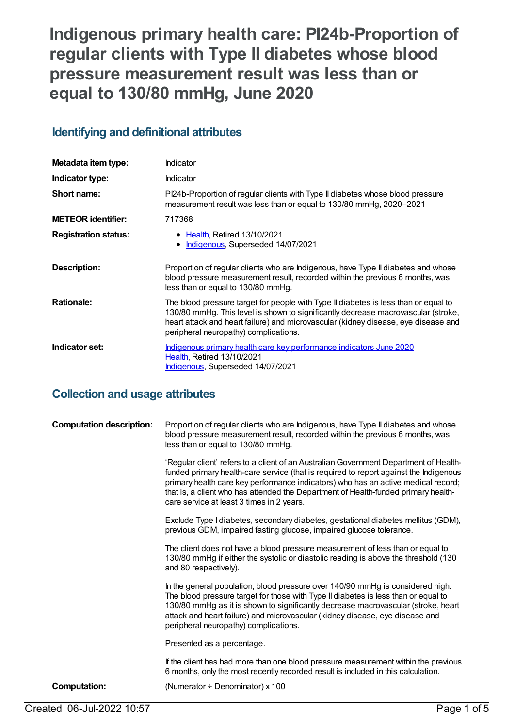# **Indigenous primary health care: PI24b-Proportion of regular clients with Type II diabetes whose blood pressure measurement result was less than or equal to 130/80 mmHg, June 2020**

### **Identifying and definitional attributes**

| Metadata item type:         | Indicator                                                                                                                                                                                                                                                                                               |  |
|-----------------------------|---------------------------------------------------------------------------------------------------------------------------------------------------------------------------------------------------------------------------------------------------------------------------------------------------------|--|
| Indicator type:             | <b>Indicator</b>                                                                                                                                                                                                                                                                                        |  |
| Short name:                 | PI24b-Proportion of regular clients with Type II diabetes whose blood pressure<br>measurement result was less than or equal to 130/80 mmHg, 2020-2021                                                                                                                                                   |  |
| <b>METEOR identifier:</b>   | 717368                                                                                                                                                                                                                                                                                                  |  |
| <b>Registration status:</b> | • Health, Retired 13/10/2021<br>Indigenous, Superseded 14/07/2021<br>$\bullet$                                                                                                                                                                                                                          |  |
| <b>Description:</b>         | Proportion of regular clients who are Indigenous, have Type II diabetes and whose<br>blood pressure measurement result, recorded within the previous 6 months, was<br>less than or equal to 130/80 mmHg.                                                                                                |  |
| <b>Rationale:</b>           | The blood pressure target for people with Type II diabetes is less than or equal to<br>130/80 mmHg. This level is shown to significantly decrease macrovascular (stroke,<br>heart attack and heart failure) and microvascular (kidney disease, eye disease and<br>peripheral neuropathy) complications. |  |
| Indicator set:              | Indigenous primary health care key performance indicators June 2020<br><b>Health, Retired 13/10/2021</b><br>Indigenous, Superseded 14/07/2021                                                                                                                                                           |  |

### **Collection and usage attributes**

| <b>Computation description:</b> | Proportion of regular clients who are Indigenous, have Type II diabetes and whose<br>blood pressure measurement result, recorded within the previous 6 months, was<br>less than or equal to 130/80 mmHg.                                                                                                                                                                                               |
|---------------------------------|--------------------------------------------------------------------------------------------------------------------------------------------------------------------------------------------------------------------------------------------------------------------------------------------------------------------------------------------------------------------------------------------------------|
|                                 | 'Regular client' refers to a client of an Australian Government Department of Health-<br>funded primary health-care service (that is required to report against the Indigenous<br>primary health care key performance indicators) who has an active medical record;<br>that is, a client who has attended the Department of Health-funded primary health-<br>care service at least 3 times in 2 years. |
|                                 | Exclude Type I diabetes, secondary diabetes, gestational diabetes mellitus (GDM),<br>previous GDM, impaired fasting glucose, impaired glucose tolerance.                                                                                                                                                                                                                                               |
|                                 | The client does not have a blood pressure measurement of less than or equal to<br>130/80 mmHg if either the systolic or diastolic reading is above the threshold (130<br>and 80 respectively).                                                                                                                                                                                                         |
|                                 | In the general population, blood pressure over 140/90 mmHg is considered high.<br>The blood pressure target for those with Type II diabetes is less than or equal to<br>130/80 mmHg as it is shown to significantly decrease macrovascular (stroke, heart<br>attack and heart failure) and microvascular (kidney disease, eye disease and<br>peripheral neuropathy) complications.                     |
|                                 | Presented as a percentage.                                                                                                                                                                                                                                                                                                                                                                             |
|                                 | If the client has had more than one blood pressure measurement within the previous<br>6 months, only the most recently recorded result is included in this calculation.                                                                                                                                                                                                                                |
| Computation:                    | (Numerator $\div$ Denominator) x 100                                                                                                                                                                                                                                                                                                                                                                   |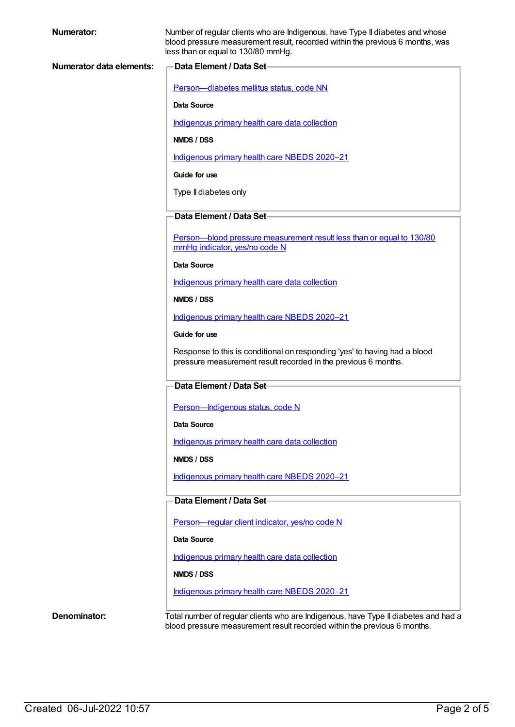| <b>Numerator:</b>               | Number of regular clients who are Indigenous, have Type II diabetes and whose<br>blood pressure measurement result, recorded within the previous 6 months, was<br>less than or equal to 130/80 mmHg. |  |
|---------------------------------|------------------------------------------------------------------------------------------------------------------------------------------------------------------------------------------------------|--|
| <b>Numerator data elements:</b> | Data Element / Data Set-                                                                                                                                                                             |  |
|                                 | Person-diabetes mellitus status, code NN                                                                                                                                                             |  |
|                                 | <b>Data Source</b>                                                                                                                                                                                   |  |
|                                 | Indigenous primary health care data collection                                                                                                                                                       |  |
|                                 | NMDS / DSS                                                                                                                                                                                           |  |
|                                 | Indigenous primary health care NBEDS 2020-21                                                                                                                                                         |  |
|                                 | Guide for use                                                                                                                                                                                        |  |
|                                 | Type II diabetes only                                                                                                                                                                                |  |
|                                 |                                                                                                                                                                                                      |  |
|                                 | Data Element / Data Set-                                                                                                                                                                             |  |
|                                 | Person-blood pressure measurement result less than or equal to 130/80<br>mmHg indicator, yes/no code N                                                                                               |  |
|                                 | <b>Data Source</b>                                                                                                                                                                                   |  |
|                                 | Indigenous primary health care data collection                                                                                                                                                       |  |
|                                 | NMDS / DSS                                                                                                                                                                                           |  |
|                                 | Indigenous primary health care NBEDS 2020-21                                                                                                                                                         |  |
|                                 | Guide for use                                                                                                                                                                                        |  |
|                                 | Response to this is conditional on responding 'yes' to having had a blood<br>pressure measurement result recorded in the previous 6 months.                                                          |  |
|                                 | Data Element / Data Set                                                                                                                                                                              |  |
|                                 | Person-Indigenous status, code N                                                                                                                                                                     |  |
|                                 | <b>Data Source</b>                                                                                                                                                                                   |  |
|                                 | Indigenous primary health care data collection                                                                                                                                                       |  |
|                                 | NMDS / DSS                                                                                                                                                                                           |  |
|                                 | Indigenous primary health care NBEDS 2020-21                                                                                                                                                         |  |
|                                 | Data Element / Data Set-                                                                                                                                                                             |  |
|                                 | Person-regular client indicator, yes/no code N                                                                                                                                                       |  |
|                                 | Data Source                                                                                                                                                                                          |  |
|                                 | Indigenous primary health care data collection                                                                                                                                                       |  |
|                                 | NMDS / DSS                                                                                                                                                                                           |  |
|                                 | Indigenous primary health care NBEDS 2020-21                                                                                                                                                         |  |
| Denominator:                    | Total number of regular clients who are Indigenous, have Type II diabetes and had a                                                                                                                  |  |

blood pressure measurement result recorded within the previous 6 months.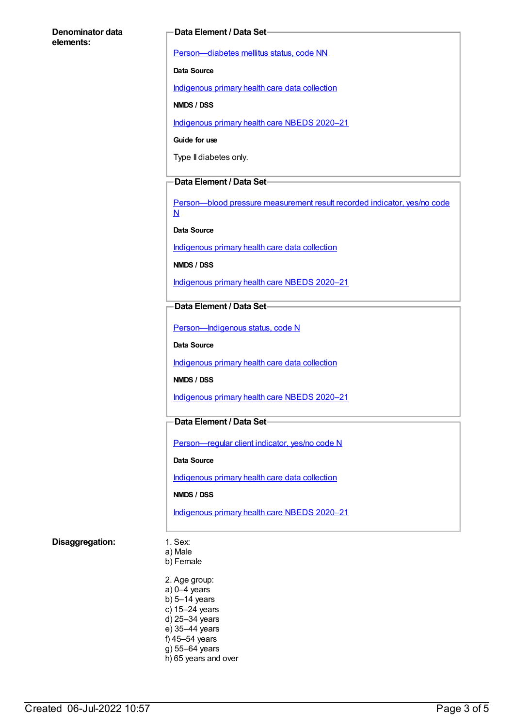#### **Denominator data elements:**

#### **Data Element / Data Set**

[Person—diabetes](https://meteor.aihw.gov.au/content/270194) mellitus status, code NN

**Data Source**

[Indigenous](https://meteor.aihw.gov.au/content/430643) primary health care data collection

**NMDS / DSS**

[Indigenous](https://meteor.aihw.gov.au/content/715320) primary health care NBEDS 2020–21

**Guide for use**

Type II diabetes only.

#### **Data Element / Data Set**

[Person—blood](https://meteor.aihw.gov.au/content/441407) pressure measurement result recorded indicator, yes/no code N

**Data Source**

[Indigenous](https://meteor.aihw.gov.au/content/430643) primary health care data collection

**NMDS / DSS**

[Indigenous](https://meteor.aihw.gov.au/content/715320) primary health care NBEDS 2020–21

**Data Element / Data Set**

[Person—Indigenous](https://meteor.aihw.gov.au/content/602543) status, code N

**Data Source**

[Indigenous](https://meteor.aihw.gov.au/content/430643) primary health care data collection

**NMDS / DSS**

[Indigenous](https://meteor.aihw.gov.au/content/715320) primary health care NBEDS 2020–21

### **Data Element / Data Set**

[Person—regular](https://meteor.aihw.gov.au/content/686291) client indicator, yes/no code N

**Data Source**

[Indigenous](https://meteor.aihw.gov.au/content/430643) primary health care data collection

#### **NMDS / DSS**

[Indigenous](https://meteor.aihw.gov.au/content/715320) primary health care NBEDS 2020–21

#### **Disaggregation:** 1. Sex:

- a) Male b) Female
- 2. Age group: a) 0–4 years  $b)$  5–14 years c) 15–24 years d) 25–34 years e) 35–44 years f) 45–54 years g) 55–64 years h) 65 years and over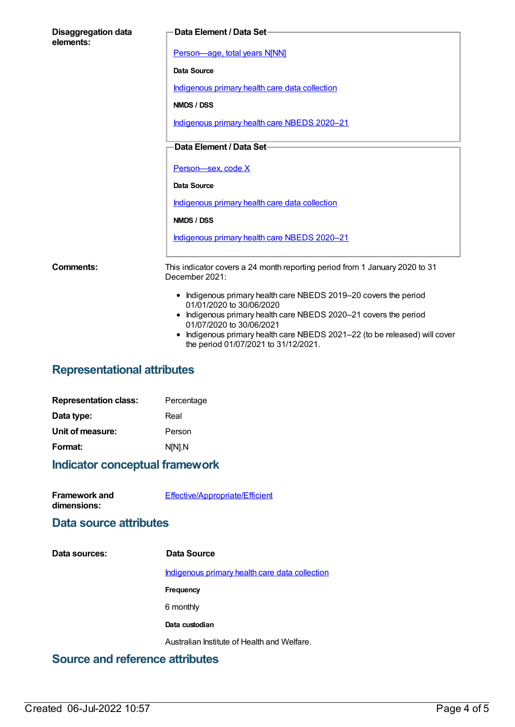| <b>Disaggregation data</b><br>elements: | Data Element / Data Set-                                                                                                                                                                                                                                                                                         |
|-----------------------------------------|------------------------------------------------------------------------------------------------------------------------------------------------------------------------------------------------------------------------------------------------------------------------------------------------------------------|
|                                         | Person-age, total years N[NN]                                                                                                                                                                                                                                                                                    |
|                                         | Data Source                                                                                                                                                                                                                                                                                                      |
|                                         | Indigenous primary health care data collection                                                                                                                                                                                                                                                                   |
|                                         | NMDS / DSS                                                                                                                                                                                                                                                                                                       |
|                                         | Indigenous primary health care NBEDS 2020-21                                                                                                                                                                                                                                                                     |
|                                         | Data Element / Data Set-                                                                                                                                                                                                                                                                                         |
|                                         | Person-sex, code X                                                                                                                                                                                                                                                                                               |
|                                         | Data Source                                                                                                                                                                                                                                                                                                      |
|                                         | Indigenous primary health care data collection                                                                                                                                                                                                                                                                   |
|                                         | NMDS / DSS                                                                                                                                                                                                                                                                                                       |
|                                         | Indigenous primary health care NBEDS 2020-21                                                                                                                                                                                                                                                                     |
| Comments:                               | This indicator covers a 24 month reporting period from 1 January 2020 to 31<br>December 2021:                                                                                                                                                                                                                    |
|                                         | • Indigenous primary health care NBEDS 2019-20 covers the period<br>01/01/2020 to 30/06/2020<br>• Indigenous primary health care NBEDS 2020-21 covers the period<br>01/07/2020 to 30/06/2021<br>Indigenous primary health care NBEDS 2021-22 (to be released) will cover<br>the period 01/07/2021 to 31/12/2021. |

### **Representational attributes**

| Percentage |
|------------|
| Real       |
| Person     |
| N[N].N     |
|            |

## **Indicator conceptual framework**

| <b>Framework and</b> | Effective/Appropriate/Efficient |
|----------------------|---------------------------------|
| dimensions:          |                                 |

### **Data source attributes**

| Data sources: | Data Source                                    |
|---------------|------------------------------------------------|
|               | Indigenous primary health care data collection |
|               | Frequency                                      |
|               | 6 monthly                                      |
|               | Data custodian                                 |
|               | Australian Institute of Health and Welfare.    |
|               |                                                |

### **Source and reference attributes**